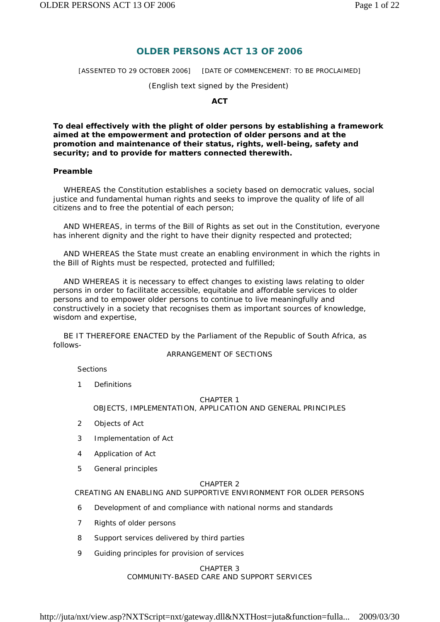# **OLDER PERSONS ACT 13 OF 2006**

[ASSENTED TO 29 OCTOBER 2006] [DATE OF COMMENCEMENT: TO BE PROCLAIMED]

*(English text signed by the President)* 

**ACT** 

**To deal effectively with the plight of older persons by establishing a framework aimed at the empowerment and protection of older persons and at the promotion and maintenance of their status, rights, well-being, safety and security; and to provide for matters connected therewith.** 

### **Preamble**

 WHEREAS the Constitution establishes a society based on democratic values, social justice and fundamental human rights and seeks to improve the quality of life of all citizens and to free the potential of each person;

 AND WHEREAS, in terms of the Bill of Rights as set out in the Constitution, everyone has inherent dignity and the right to have their dignity respected and protected;

 AND WHEREAS the State must create an enabling environment in which the rights in the Bill of Rights must be respected, protected and fulfilled;

 AND WHEREAS it is necessary to effect changes to existing laws relating to older persons in order to facilitate accessible, equitable and affordable services to older persons and to empower older persons to continue to live meaningfully and constructively in a society that recognises them as important sources of knowledge, wisdom and expertise,

 BE IT THEREFORE ENACTED by the Parliament of the Republic of South Africa, as follows-

ARRANGEMENT OF SECTIONS

*Sections* 

1 Definitions

# CHAPTER 1

### OBJECTS, IMPLEMENTATION, APPLICATION AND GENERAL PRINCIPLES

- 2 Objects of Act
- 3 Implementation of Act
- 4 Application of Act
- 5 General principles

#### CHAPTER 2

CREATING AN ENABLING AND SUPPORTIVE ENVIRONMENT FOR OLDER PERSONS

- 6 Development of and compliance with national norms and standards
- 7 Rights of older persons
- 8 Support services delivered by third parties
- 9 Guiding principles for provision of services

### CHAPTER 3

COMMUNITY-BASED CARE AND SUPPORT SERVICES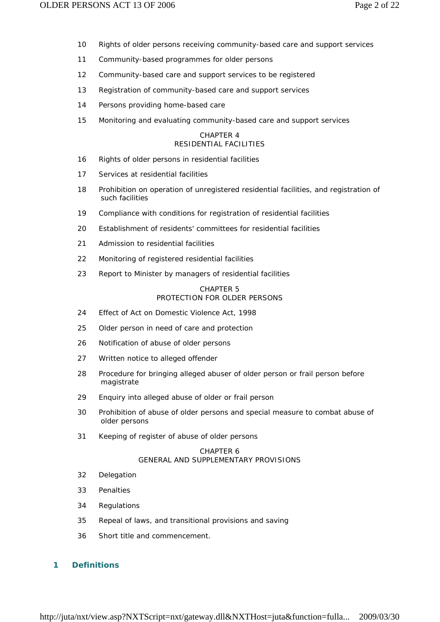- 10 Rights of older persons receiving community-based care and support services
- 11 Community-based programmes for older persons
- 12 Community-based care and support services to be registered
- 13 Registration of community-based care and support services
- 14 Persons providing home-based care
- 15 Monitoring and evaluating community-based care and support services

### CHAPTER 4 RESIDENTIAL FACILITIES

- 16 Rights of older persons in residential facilities
- 17 Services at residential facilities
- 18 Prohibition on operation of unregistered residential facilities, and registration of such facilities
- 19 Compliance with conditions for registration of residential facilities
- 20 Establishment of residents' committees for residential facilities
- 21 Admission to residential facilities
- 22 Monitoring of registered residential facilities
- 23 Report to Minister by managers of residential facilities

### CHAPTER 5 PROTECTION FOR OLDER PERSONS

- 24 Effect of Act on Domestic Violence Act, 1998
- 25 Older person in need of care and protection
- 26 Notification of abuse of older persons
- 27 Written notice to alleged offender
- 28 Procedure for bringing alleged abuser of older person or frail person before magistrate
- 29 Enquiry into alleged abuse of older or frail person
- 30 Prohibition of abuse of older persons and special measure to combat abuse of older persons
- 31 Keeping of register of abuse of older persons

### CHAPTER 6 GENERAL AND SUPPLEMENTARY PROVISIONS

- 32 Delegation
- 33 Penalties
- 34 Regulations
- 35 Repeal of laws, and transitional provisions and saving
- 36 Short title and commencement.

### **1 Definitions**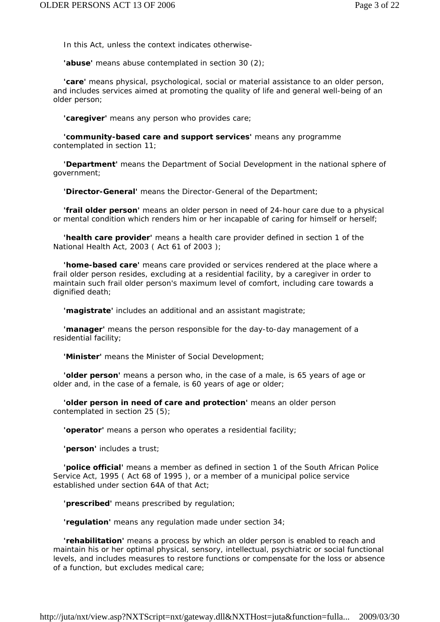In this Act, unless the context indicates otherwise-

**'abuse'** means abuse contemplated in section 30 (2);

 **'care'** means physical, psychological, social or material assistance to an older person, and includes services aimed at promoting the quality of life and general well-being of an older person;

**'caregiver'** means any person who provides care;

 **'community-based care and support services'** means any programme contemplated in section 11;

 **'Department'** means the Department of Social Development in the national sphere of government;

**'Director-General'** means the Director-General of the Department;

 **'frail older person'** means an older person in need of 24-hour care due to a physical or mental condition which renders him or her incapable of caring for himself or herself;

 **'health care provider'** means a health care provider defined in section 1 of the National Health Act, 2003 ( Act 61 of 2003 );

 **'home-based care'** means care provided or services rendered at the place where a frail older person resides, excluding at a residential facility, by a caregiver in order to maintain such frail older person's maximum level of comfort, including care towards a dignified death;

**'magistrate'** includes an additional and an assistant magistrate;

 **'manager'** means the person responsible for the day-to-day management of a residential facility;

**'Minister'** means the Minister of Social Development;

 **'older person'** means a person who, in the case of a male, is 65 years of age or older and, in the case of a female, is 60 years of age or older;

 **'older person in need of care and protection'** means an older person contemplated in section 25 (5);

**'operator'** means a person who operates a residential facility;

**'person'** includes a trust;

 **'police official'** means a member as defined in section 1 of the South African Police Service Act, 1995 ( Act 68 of 1995 ), or a member of a municipal police service established under section 64A of that Act;

**'prescribed'** means prescribed by regulation;

**'regulation'** means any regulation made under section 34;

 **'rehabilitation'** means a process by which an older person is enabled to reach and maintain his or her optimal physical, sensory, intellectual, psychiatric or social functional levels, and includes measures to restore functions or compensate for the loss or absence of a function, but excludes medical care;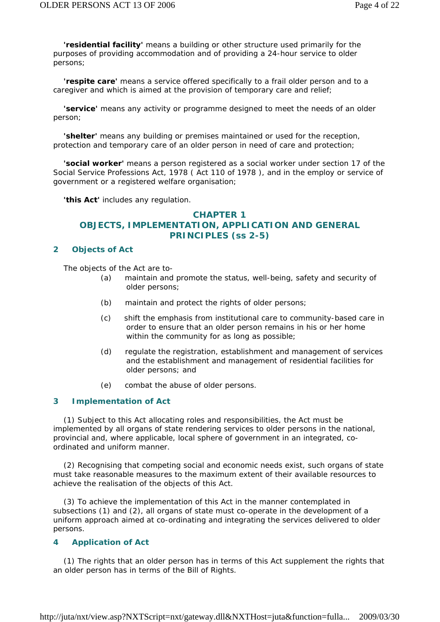**'residential facility'** means a building or other structure used primarily for the purposes of providing accommodation and of providing a 24-hour service to older persons;

 **'respite care'** means a service offered specifically to a frail older person and to a caregiver and which is aimed at the provision of temporary care and relief;

 **'service'** means any activity or programme designed to meet the needs of an older person;

 **'shelter'** means any building or premises maintained or used for the reception, protection and temporary care of an older person in need of care and protection;

 **'social worker'** means a person registered as a social worker under section 17 of the Social Service Professions Act, 1978 ( Act 110 of 1978 ), and in the employ or service of government or a registered welfare organisation;

**'this Act'** includes any regulation.

# **CHAPTER 1 OBJECTS, IMPLEMENTATION, APPLICATION AND GENERAL PRINCIPLES (ss 2-5)**

### **2 Objects of Act**

The objects of the Act are to-

- *(a)* maintain and promote the status, well-being, safety and security of older persons;
- *(b)* maintain and protect the rights of older persons;
- *(c)* shift the emphasis from institutional care to community-based care in order to ensure that an older person remains in his or her home within the community for as long as possible;
- *(d)* regulate the registration, establishment and management of services and the establishment and management of residential facilities for older persons; and
- *(e)* combat the abuse of older persons.

### **3 Implementation of Act**

 (1) Subject to this Act allocating roles and responsibilities, the Act must be implemented by all organs of state rendering services to older persons in the national, provincial and, where applicable, local sphere of government in an integrated, coordinated and uniform manner.

 (2) Recognising that competing social and economic needs exist, such organs of state must take reasonable measures to the maximum extent of their available resources to achieve the realisation of the objects of this Act.

 (3) To achieve the implementation of this Act in the manner contemplated in subsections (1) and (2), all organs of state must co-operate in the development of a uniform approach aimed at co-ordinating and integrating the services delivered to older persons.

### **4 Application of Act**

 (1) The rights that an older person has in terms of this Act supplement the rights that an older person has in terms of the Bill of Rights.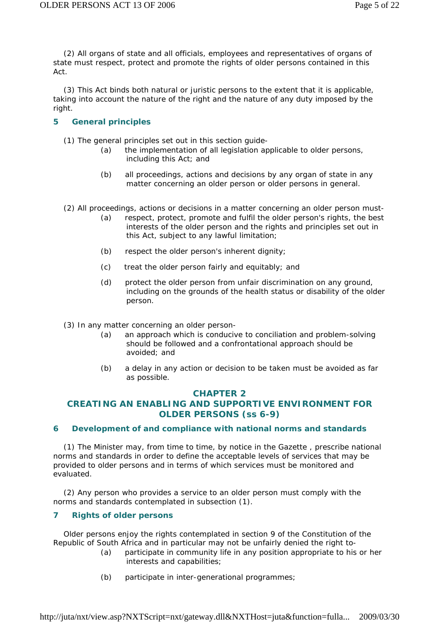(2) All organs of state and all officials, employees and representatives of organs of state must respect, protect and promote the rights of older persons contained in this Act.

 (3) This Act binds both natural or juristic persons to the extent that it is applicable, taking into account the nature of the right and the nature of any duty imposed by the right.

# **5 General principles**

- (1) The general principles set out in this section guide-
	- *(a)* the implementation of all legislation applicable to older persons, including this Act; and
	- *(b)* all proceedings, actions and decisions by any organ of state in any matter concerning an older person or older persons in general.

(2) All proceedings, actions or decisions in a matter concerning an older person must-

- *(a)* respect, protect, promote and fulfil the older person's rights, the best interests of the older person and the rights and principles set out in this Act, subject to any lawful limitation;
- *(b)* respect the older person's inherent dignity;
- *(c)* treat the older person fairly and equitably; and
- *(d)* protect the older person from unfair discrimination on any ground, including on the grounds of the health status or disability of the older person.
- (3) In any matter concerning an older person-
	- *(a)* an approach which is conducive to conciliation and problem-solving should be followed and a confrontational approach should be avoided; and
	- *(b)* a delay in any action or decision to be taken must be avoided as far as possible.

# **CHAPTER 2**

# **CREATING AN ENABLING AND SUPPORTIVE ENVIRONMENT FOR OLDER PERSONS (ss 6-9)**

### **6 Development of and compliance with national norms and standards**

 (1) The Minister may, from time to time, by notice in the *Gazette* , prescribe national norms and standards in order to define the acceptable levels of services that may be provided to older persons and in terms of which services must be monitored and evaluated.

 (2) Any person who provides a service to an older person must comply with the norms and standards contemplated in subsection (1).

# **7 Rights of older persons**

 Older persons enjoy the rights contemplated in section 9 of the Constitution of the Republic of South Africa and in particular may not be unfairly denied the right to-

- *(a)* participate in community life in any position appropriate to his or her interests and capabilities;
- *(b)* participate in inter-generational programmes;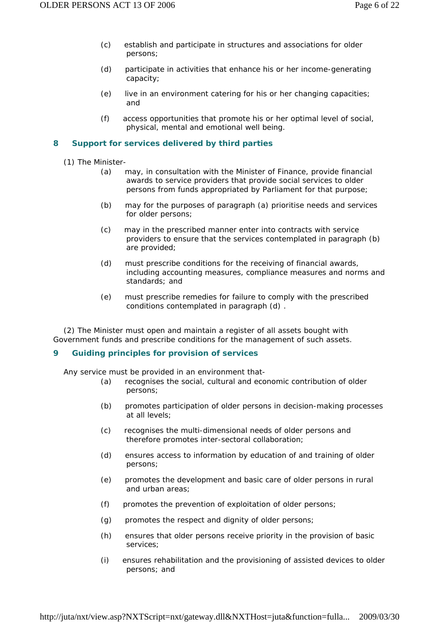- *(c)* establish and participate in structures and associations for older persons;
- *(d)* participate in activities that enhance his or her income-generating capacity;
- *(e)* live in an environment catering for his or her changing capacities; and
- *(f)* access opportunities that promote his or her optimal level of social, physical, mental and emotional well being.

# **8 Support for services delivered by third parties**

(1) The Minister-

- *(a)* may, in consultation with the Minister of Finance, provide financial awards to service providers that provide social services to older persons from funds appropriated by Parliament for that purpose;
- *(b)* may for the purposes of paragraph *(a)* prioritise needs and services for older persons;
- *(c)* may in the prescribed manner enter into contracts with service providers to ensure that the services contemplated in paragraph *(b)*  are provided;
- *(d)* must prescribe conditions for the receiving of financial awards, including accounting measures, compliance measures and norms and standards; and
- *(e)* must prescribe remedies for failure to comply with the prescribed conditions contemplated in paragraph *(d)* .

 (2) The Minister must open and maintain a register of all assets bought with Government funds and prescribe conditions for the management of such assets.

### **9 Guiding principles for provision of services**

Any service must be provided in an environment that-

- *(a)* recognises the social, cultural and economic contribution of older persons;
- *(b)* promotes participation of older persons in decision-making processes at all levels;
- *(c)* recognises the multi-dimensional needs of older persons and therefore promotes inter-sectoral collaboration;
- *(d)* ensures access to information by education of and training of older persons;
- *(e)* promotes the development and basic care of older persons in rural and urban areas;
- *(f)* promotes the prevention of exploitation of older persons;
- *(g)* promotes the respect and dignity of older persons;
- *(h)* ensures that older persons receive priority in the provision of basic services;
- *(i)* ensures rehabilitation and the provisioning of assisted devices to older persons; and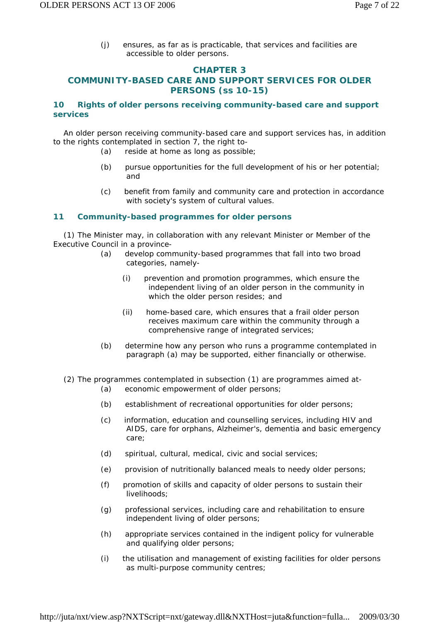*(j)* ensures, as far as is practicable, that services and facilities are accessible to older persons.

# **CHAPTER 3**

# **COMMUNITY-BASED CARE AND SUPPORT SERVICES FOR OLDER PERSONS (ss 10-15)**

# **10 Rights of older persons receiving community-based care and support services**

 An older person receiving community-based care and support services has, in addition to the rights contemplated in section 7, the right to-

- *(a)* reside at home as long as possible;
- *(b)* pursue opportunities for the full development of his or her potential; and
- *(c)* benefit from family and community care and protection in accordance with society's system of cultural values.

### **11 Community-based programmes for older persons**

 (1) The Minister may, in collaboration with any relevant Minister or Member of the Executive Council in a province-

- *(a)* develop community-based programmes that fall into two broad categories, namely-
	- (i) prevention and promotion programmes, which ensure the independent living of an older person in the community in which the older person resides; and
	- (ii) home-based care, which ensures that a frail older person receives maximum care within the community through a comprehensive range of integrated services;
- *(b)* determine how any person who runs a programme contemplated in paragraph *(a)* may be supported, either financially or otherwise.
- (2) The programmes contemplated in subsection (1) are programmes aimed at-
	- *(a)* economic empowerment of older persons;
	- *(b)* establishment of recreational opportunities for older persons;
	- *(c)* information, education and counselling services, including HIV and AIDS, care for orphans, Alzheimer's, dementia and basic emergency care;
	- *(d)* spiritual, cultural, medical, civic and social services;
	- *(e)* provision of nutritionally balanced meals to needy older persons;
	- *(f)* promotion of skills and capacity of older persons to sustain their livelihoods;
	- *(g)* professional services, including care and rehabilitation to ensure independent living of older persons;
	- *(h)* appropriate services contained in the indigent policy for vulnerable and qualifying older persons;
	- *(i)* the utilisation and management of existing facilities for older persons as multi-purpose community centres;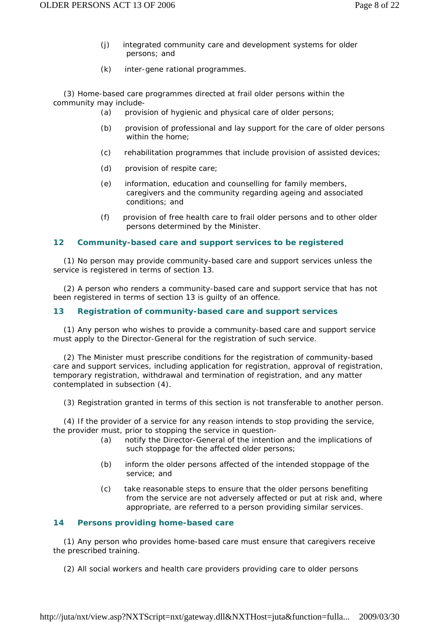- *(j)* integrated community care and development systems for older persons; and
- *(k)* inter-gene rational programmes.

 (3) Home-based care programmes directed at frail older persons within the community may include-

- *(a)* provision of hygienic and physical care of older persons;
- *(b)* provision of professional and lay support for the care of older persons within the home;
- *(c)* rehabilitation programmes that include provision of assisted devices;
- *(d)* provision of respite care;
- *(e)* information, education and counselling for family members, caregivers and the community regarding ageing and associated conditions; and
- *(f)* provision of free health care to frail older persons and to other older persons determined by the Minister.

### **12 Community-based care and support services to be registered**

 (1) No person may provide community-based care and support services unless the service is registered in terms of section 13.

 (2) A person who renders a community-based care and support service that has not been registered in terms of section 13 is guilty of an offence.

# **13 Registration of community-based care and support services**

 (1) Any person who wishes to provide a community-based care and support service must apply to the Director-General for the registration of such service.

 (2) The Minister must prescribe conditions for the registration of community-based care and support services, including application for registration, approval of registration, temporary registration, withdrawal and termination of registration, and any matter contemplated in subsection (4).

(3) Registration granted in terms of this section is not transferable to another person.

 (4) If the provider of a service for any reason intends to stop providing the service, the provider must, prior to stopping the service in question-

- *(a)* notify the Director-General of the intention and the implications of such stoppage for the affected older persons;
- *(b)* inform the older persons affected of the intended stoppage of the service; and
- *(c)* take reasonable steps to ensure that the older persons benefiting from the service are not adversely affected or put at risk and, where appropriate, are referred to a person providing similar services.

### **14 Persons providing home-based care**

 (1) Any person who provides home-based care must ensure that caregivers receive the prescribed training.

(2) All social workers and health care providers providing care to older persons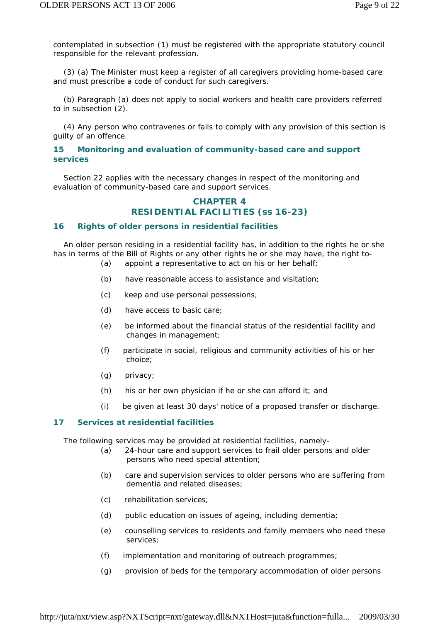contemplated in subsection (1) must be registered with the appropriate statutory council responsible for the relevant profession.

 (3) *(a)* The Minister must keep a register of all caregivers providing home-based care and must prescribe a code of conduct for such caregivers.

 *(b)* Paragraph *(a)* does not apply to social workers and health care providers referred to in subsection (2).

 (4) Any person who contravenes or fails to comply with any provision of this section is guilty of an offence.

### **15 Monitoring and evaluation of community-based care and support services**

 Section 22 applies with the necessary changes in respect of the monitoring and evaluation of community-based care and support services.

# **CHAPTER 4 RESIDENTIAL FACILITIES (ss 16-23)**

#### **16 Rights of older persons in residential facilities**

 An older person residing in a residential facility has, in addition to the rights he or she has in terms of the Bill of Rights or any other rights he or she may have, the right to- *(a)* appoint a representative to act on his or her behalf;

- *(b)* have reasonable access to assistance and visitation;
- *(c)* keep and use personal possessions;
- *(d)* have access to basic care;
- *(e)* be informed about the financial status of the residential facility and changes in management;
- *(f)* participate in social, religious and community activities of his or her choice;
- *(g)* privacy;
- *(h)* his or her own physician if he or she can afford it; and
- *(i)* be given at least 30 days' notice of a proposed transfer or discharge.

### **17 Services at residential facilities**

The following services may be provided at residential facilities, namely-

- *(a)* 24-hour care and support services to frail older persons and older persons who need special attention;
- *(b)* care and supervision services to older persons who are suffering from dementia and related diseases;
- *(c)* rehabilitation services;
- *(d)* public education on issues of ageing, including dementia;
- *(e)* counselling services to residents and family members who need these services;
- *(f)* implementation and monitoring of outreach programmes;
- *(g)* provision of beds for the temporary accommodation of older persons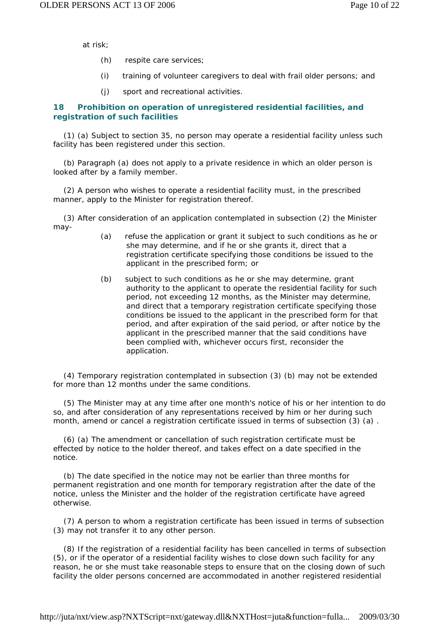at risk;

- *(h)* respite care services;
- *(i)* training of volunteer caregivers to deal with frail older persons; and
- *(j)* sport and recreational activities.

# **18 Prohibition on operation of unregistered residential facilities, and registration of such facilities**

 (1) *(a)* Subject to section 35, no person may operate a residential facility unless such facility has been registered under this section.

 *(b)* Paragraph *(a)* does not apply to a private residence in which an older person is looked after by a family member.

 (2) A person who wishes to operate a residential facility must, in the prescribed manner, apply to the Minister for registration thereof.

 (3) After consideration of an application contemplated in subsection (2) the Minister may-

- *(a)* refuse the application or grant it subject to such conditions as he or she may determine, and if he or she grants it, direct that a registration certificate specifying those conditions be issued to the applicant in the prescribed form; or
- *(b)* subject to such conditions as he or she may determine, grant authority to the applicant to operate the residential facility for such period, not exceeding 12 months, as the Minister may determine, and direct that a temporary registration certificate specifying those conditions be issued to the applicant in the prescribed form for that period, and after expiration of the said period, or after notice by the applicant in the prescribed manner that the said conditions have been complied with, whichever occurs first, reconsider the application.

 (4) Temporary registration contemplated in subsection (3) *(b)* may not be extended for more than 12 months under the same conditions.

 (5) The Minister may at any time after one month's notice of his or her intention to do so, and after consideration of any representations received by him or her during such month, amend or cancel a registration certificate issued in terms of subsection (3) *(a)* .

 (6) *(a)* The amendment or cancellation of such registration certificate must be effected by notice to the holder thereof, and takes effect on a date specified in the notice.

 *(b)* The date specified in the notice may not be earlier than three months for permanent registration and one month for temporary registration after the date of the notice, unless the Minister and the holder of the registration certificate have agreed otherwise.

 (7) A person to whom a registration certificate has been issued in terms of subsection (3) may not transfer it to any other person.

 (8) If the registration of a residential facility has been cancelled in terms of subsection (5), or if the operator of a residential facility wishes to close down such facility for any reason, he or she must take reasonable steps to ensure that on the closing down of such facility the older persons concerned are accommodated in another registered residential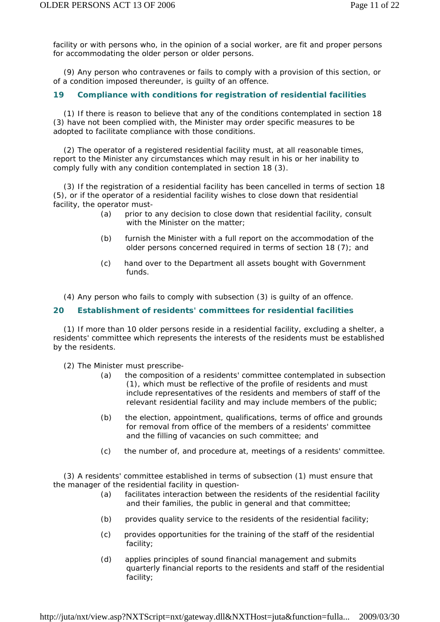facility or with persons who, in the opinion of a social worker, are fit and proper persons for accommodating the older person or older persons.

 (9) Any person who contravenes or fails to comply with a provision of this section, or of a condition imposed thereunder, is guilty of an offence.

### **19 Compliance with conditions for registration of residential facilities**

 (1) If there is reason to believe that any of the conditions contemplated in section 18 (3) have not been complied with, the Minister may order specific measures to be adopted to facilitate compliance with those conditions.

 (2) The operator of a registered residential facility must, at all reasonable times, report to the Minister any circumstances which may result in his or her inability to comply fully with any condition contemplated in section 18 (3).

 (3) If the registration of a residential facility has been cancelled in terms of section 18 (5), or if the operator of a residential facility wishes to close down that residential facility, the operator must-

- *(a)* prior to any decision to close down that residential facility, consult with the Minister on the matter:
- *(b)* furnish the Minister with a full report on the accommodation of the older persons concerned required in terms of section 18 (7); and
- *(c)* hand over to the Department all assets bought with Government funds.

(4) Any person who fails to comply with subsection (3) is guilty of an offence.

### **20 Establishment of residents' committees for residential facilities**

 (1) If more than 10 older persons reside in a residential facility, excluding a shelter, a residents' committee which represents the interests of the residents must be established by the residents.

- (2) The Minister must prescribe-
	- *(a)* the composition of a residents' committee contemplated in subsection (1), which must be reflective of the profile of residents and must include representatives of the residents and members of staff of the relevant residential facility and may include members of the public;
	- *(b)* the election, appointment, qualifications, terms of office and grounds for removal from office of the members of a residents' committee and the filling of vacancies on such committee; and
	- *(c)* the number of, and procedure at, meetings of a residents' committee.

 (3) A residents' committee established in terms of subsection (1) must ensure that the manager of the residential facility in question-

- *(a)* facilitates interaction between the residents of the residential facility and their families, the public in general and that committee;
- *(b)* provides quality service to the residents of the residential facility;
- *(c)* provides opportunities for the training of the staff of the residential facility;
- *(d)* applies principles of sound financial management and submits quarterly financial reports to the residents and staff of the residential facility;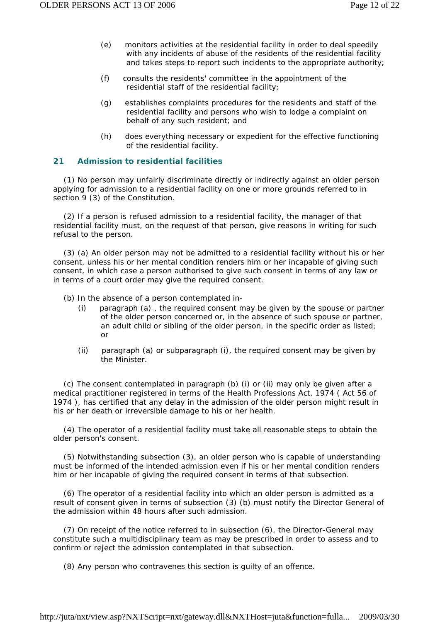- *(e)* monitors activities at the residential facility in order to deal speedily with any incidents of abuse of the residents of the residential facility and takes steps to report such incidents to the appropriate authority;
- *(f)* consults the residents' committee in the appointment of the residential staff of the residential facility;
- *(g)* establishes complaints procedures for the residents and staff of the residential facility and persons who wish to lodge a complaint on behalf of any such resident; and
- *(h)* does everything necessary or expedient for the effective functioning of the residential facility.

### **21 Admission to residential facilities**

 (1) No person may unfairly discriminate directly or indirectly against an older person applying for admission to a residential facility on one or more grounds referred to in section 9 (3) of the Constitution.

 (2) If a person is refused admission to a residential facility, the manager of that residential facility must, on the request of that person, give reasons in writing for such refusal to the person.

 (3) *(a)* An older person may not be admitted to a residential facility without his or her consent, unless his or her mental condition renders him or her incapable of giving such consent, in which case a person authorised to give such consent in terms of any law or in terms of a court order may give the required consent.

*(b)* In the absence of a person contemplated in-

- (i) paragraph *(a)* , the required consent may be given by the spouse or partner of the older person concerned or, in the absence of such spouse or partner, an adult child or sibling of the older person, in the specific order as listed; or
- (ii) paragraph *(a)* or subparagraph (i), the required consent may be given by the Minister.

 *(c)* The consent contemplated in paragraph *(b)* (i) or (ii) may only be given after a medical practitioner registered in terms of the Health Professions Act, 1974 ( Act 56 of 1974 ), has certified that any delay in the admission of the older person might result in his or her death or irreversible damage to his or her health.

 (4) The operator of a residential facility must take all reasonable steps to obtain the older person's consent.

 (5) Notwithstanding subsection (3), an older person who is capable of understanding must be informed of the intended admission even if his or her mental condition renders him or her incapable of giving the required consent in terms of that subsection.

 (6) The operator of a residential facility into which an older person is admitted as a result of consent given in terms of subsection (3) *(b)* must notify the Director General of the admission within 48 hours after such admission.

 (7) On receipt of the notice referred to in subsection (6), the Director-General may constitute such a multidisciplinary team as may be prescribed in order to assess and to confirm or reject the admission contemplated in that subsection.

(8) Any person who contravenes this section is guilty of an offence.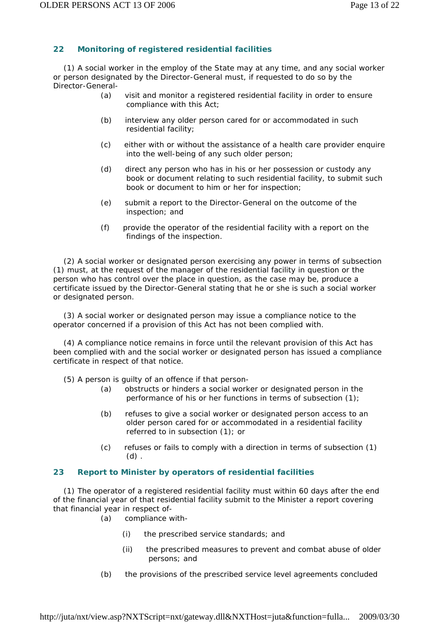# **22 Monitoring of registered residential facilities**

 (1) A social worker in the employ of the State may at any time, and any social worker or person designated by the Director-General must, if requested to do so by the Director-General-

- *(a)* visit and monitor a registered residential facility in order to ensure compliance with this Act;
- *(b)* interview any older person cared for or accommodated in such residential facility;
- *(c)* either with or without the assistance of a health care provider enquire into the well-being of any such older person;
- *(d)* direct any person who has in his or her possession or custody any book or document relating to such residential facility, to submit such book or document to him or her for inspection;
- *(e)* submit a report to the Director-General on the outcome of the inspection; and
- *(f)* provide the operator of the residential facility with a report on the findings of the inspection.

 (2) A social worker or designated person exercising any power in terms of subsection (1) must, at the request of the manager of the residential facility in question or the person who has control over the place in question, as the case may be, produce a certificate issued by the Director-General stating that he or she is such a social worker or designated person.

 (3) A social worker or designated person may issue a compliance notice to the operator concerned if a provision of this Act has not been complied with.

 (4) A compliance notice remains in force until the relevant provision of this Act has been complied with and the social worker or designated person has issued a compliance certificate in respect of that notice.

(5) A person is guilty of an offence if that person-

- *(a)* obstructs or hinders a social worker or designated person in the performance of his or her functions in terms of subsection (1);
- *(b)* refuses to give a social worker or designated person access to an older person cared for or accommodated in a residential facility referred to in subsection (1); or
- *(c)* refuses or fails to comply with a direction in terms of subsection (1) *(d)* .

### **23 Report to Minister by operators of residential facilities**

 (1) The operator of a registered residential facility must within 60 days after the end of the financial year of that residential facility submit to the Minister a report covering that financial year in respect of-

- *(a)* compliance with-
	- (i) the prescribed service standards; and
	- (ii) the prescribed measures to prevent and combat abuse of older persons; and
- *(b)* the provisions of the prescribed service level agreements concluded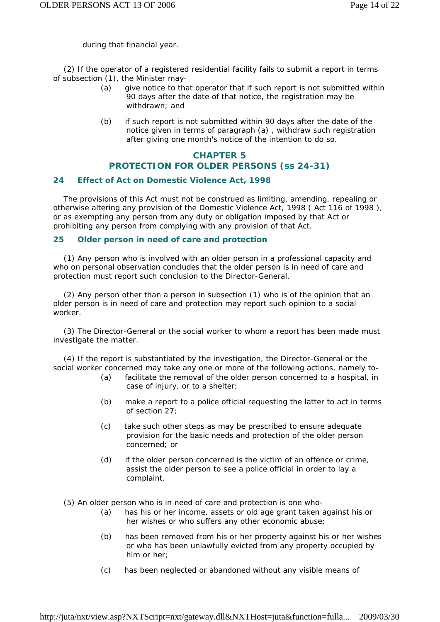during that financial year.

 (2) If the operator of a registered residential facility fails to submit a report in terms of subsection (1), the Minister may-

- *(a)* give notice to that operator that if such report is not submitted within 90 days after the date of that notice, the registration may be withdrawn; and
- *(b)* if such report is not submitted within 90 days after the date of the notice given in terms of paragraph *(a)* , withdraw such registration after giving one month's notice of the intention to do so.

# **CHAPTER 5 PROTECTION FOR OLDER PERSONS (ss 24-31)**

### **24 Effect of Act on Domestic Violence Act, 1998**

 The provisions of this Act must not be construed as limiting, amending, repealing or otherwise altering any provision of the Domestic Violence Act, 1998 ( Act 116 of 1998 ), or as exempting any person from any duty or obligation imposed by that Act or prohibiting any person from complying with any provision of that Act.

### **25 Older person in need of care and protection**

 (1) Any person who is involved with an older person in a professional capacity and who on personal observation concludes that the older person is in need of care and protection must report such conclusion to the Director-General.

 (2) Any person other than a person in subsection (1) who is of the opinion that an older person is in need of care and protection may report such opinion to a social worker.

 (3) The Director-General or the social worker to whom a report has been made must investigate the matter.

 (4) If the report is substantiated by the investigation, the Director-General or the social worker concerned may take any one or more of the following actions, namely to-

- *(a)* facilitate the removal of the older person concerned to a hospital, in case of injury, or to a shelter;
- *(b)* make a report to a police official requesting the latter to act in terms of section 27;
- *(c)* take such other steps as may be prescribed to ensure adequate provision for the basic needs and protection of the older person concerned; or
- *(d)* if the older person concerned is the victim of an offence or crime, assist the older person to see a police official in order to lay a complaint.

(5) An older person who is in need of care and protection is one who-

- *(a)* has his or her income, assets or old age grant taken against his or her wishes or who suffers any other economic abuse;
- *(b)* has been removed from his or her property against his or her wishes or who has been unlawfully evicted from any property occupied by him or her;
- *(c)* has been neglected or abandoned without any visible means of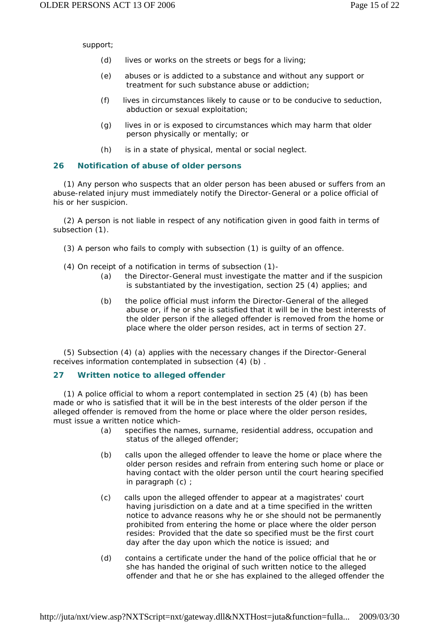support;

- *(d)* lives or works on the streets or begs for a living;
- *(e)* abuses or is addicted to a substance and without any support or treatment for such substance abuse or addiction;
- *(f)* lives in circumstances likely to cause or to be conducive to seduction, abduction or sexual exploitation;
- *(g)* lives in or is exposed to circumstances which may harm that older person physically or mentally; or
- *(h)* is in a state of physical, mental or social neglect.

### **26 Notification of abuse of older persons**

 (1) Any person who suspects that an older person has been abused or suffers from an abuse-related injury must immediately notify the Director-General or a police official of his or her suspicion.

 (2) A person is not liable in respect of any notification given in good faith in terms of subsection (1).

- (3) A person who fails to comply with subsection (1) is guilty of an offence.
- (4) On receipt of a notification in terms of subsection (1)-
	- *(a)* the Director-General must investigate the matter and if the suspicion is substantiated by the investigation, section 25 (4) applies; and
	- *(b)* the police official must inform the Director-General of the alleged abuse or, if he or she is satisfied that it will be in the best interests of the older person if the alleged offender is removed from the home or place where the older person resides, act in terms of section 27.

 (5) Subsection (4) *(a)* applies with the necessary changes if the Director-General receives information contemplated in subsection (4) *(b)* .

### **27 Written notice to alleged offender**

 (1) A police official to whom a report contemplated in section 25 (4) *(b)* has been made or who is satisfied that it will be in the best interests of the older person if the alleged offender is removed from the home or place where the older person resides, must issue a written notice which-

- *(a)* specifies the names, surname, residential address, occupation and status of the alleged offender;
- *(b)* calls upon the alleged offender to leave the home or place where the older person resides and refrain from entering such home or place or having contact with the older person until the court hearing specified in paragraph *(c)* ;
- *(c)* calls upon the alleged offender to appear at a magistrates' court having jurisdiction on a date and at a time specified in the written notice to advance reasons why he or she should not be permanently prohibited from entering the home or place where the older person resides: Provided that the date so specified must be the first court day after the day upon which the notice is issued; and
- *(d)* contains a certificate under the hand of the police official that he or she has handed the original of such written notice to the alleged offender and that he or she has explained to the alleged offender the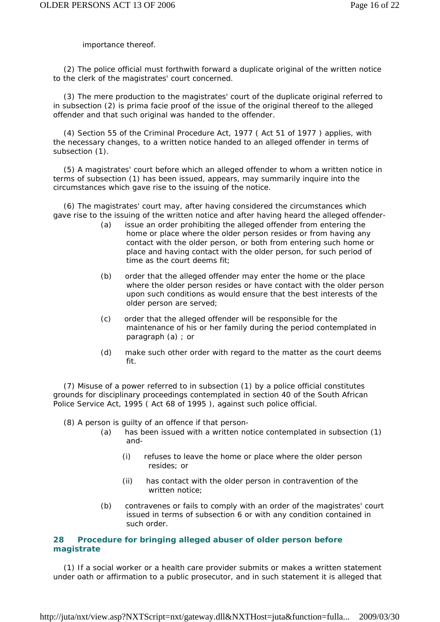importance thereof.

 (2) The police official must forthwith forward a duplicate original of the written notice to the clerk of the magistrates' court concerned.

 (3) The mere production to the magistrates' court of the duplicate original referred to in subsection (2) is *prima facie* proof of the issue of the original thereof to the alleged offender and that such original was handed to the offender.

 (4) Section 55 of the Criminal Procedure Act, 1977 ( Act 51 of 1977 ) applies, with the necessary changes, to a written notice handed to an alleged offender in terms of subsection (1).

 (5) A magistrates' court before which an alleged offender to whom a written notice in terms of subsection (1) has been issued, appears, may summarily inquire into the circumstances which gave rise to the issuing of the notice.

 (6) The magistrates' court may, after having considered the circumstances which gave rise to the issuing of the written notice and after having heard the alleged offender-

- *(a)* issue an order prohibiting the alleged offender from entering the home or place where the older person resides or from having any contact with the older person, or both from entering such home or place and having contact with the older person, for such period of time as the court deems fit;
- *(b)* order that the alleged offender may enter the home or the place where the older person resides or have contact with the older person upon such conditions as would ensure that the best interests of the older person are served;
- *(c)* order that the alleged offender will be responsible for the maintenance of his or her family during the period contemplated in paragraph *(a)* ; or
- *(d)* make such other order with regard to the matter as the court deems fit.

 (7) Misuse of a power referred to in subsection (1) by a police official constitutes grounds for disciplinary proceedings contemplated in section 40 of the South African Police Service Act, 1995 ( Act 68 of 1995 ), against such police official.

- (8) A person is guilty of an offence if that person-
	- *(a)* has been issued with a written notice contemplated in subsection (1) and-
		- (i) refuses to leave the home or place where the older person resides; or
		- (ii) has contact with the older person in contravention of the written notice;
	- *(b)* contravenes or fails to comply with an order of the magistrates' court issued in terms of subsection 6 or with any condition contained in such order.

### **28 Procedure for bringing alleged abuser of older person before magistrate**

 (1) If a social worker or a health care provider submits or makes a written statement under oath or affirmation to a public prosecutor, and in such statement it is alleged that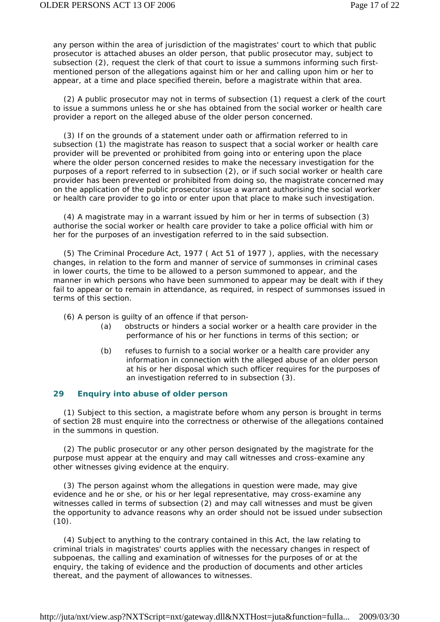any person within the area of jurisdiction of the magistrates' court to which that public prosecutor is attached abuses an older person, that public prosecutor may, subject to subsection (2), request the clerk of that court to issue a summons informing such firstmentioned person of the allegations against him or her and calling upon him or her to appear, at a time and place specified therein, before a magistrate within that area.

 (2) A public prosecutor may not in terms of subsection (1) request a clerk of the court to issue a summons unless he or she has obtained from the social worker or health care provider a report on the alleged abuse of the older person concerned.

 (3) If on the grounds of a statement under oath or affirmation referred to in subsection (1) the magistrate has reason to suspect that a social worker or health care provider will be prevented or prohibited from going into or entering upon the place where the older person concerned resides to make the necessary investigation for the purposes of a report referred to in subsection (2), or if such social worker or health care provider has been prevented or prohibited from doing so, the magistrate concerned may on the application of the public prosecutor issue a warrant authorising the social worker or health care provider to go into or enter upon that place to make such investigation.

 (4) A magistrate may in a warrant issued by him or her in terms of subsection (3) authorise the social worker or health care provider to take a police official with him or her for the purposes of an investigation referred to in the said subsection.

 (5) The Criminal Procedure Act, 1977 ( Act 51 of 1977 ), applies, with the necessary changes, in relation to the form and manner of service of summonses in criminal cases in lower courts, the time to be allowed to a person summoned to appear, and the manner in which persons who have been summoned to appear may be dealt with if they fail to appear or to remain in attendance, as required, in respect of summonses issued in terms of this section.

(6) A person is guilty of an offence if that person-

- *(a)* obstructs or hinders a social worker or a health care provider in the performance of his or her functions in terms of this section; or
- *(b)* refuses to furnish to a social worker or a health care provider any information in connection with the alleged abuse of an older person at his or her disposal which such officer requires for the purposes of an investigation referred to in subsection (3).

### **29 Enquiry into abuse of older person**

 (1) Subject to this section, a magistrate before whom any person is brought in terms of section 28 must enquire into the correctness or otherwise of the allegations contained in the summons in question.

 (2) The public prosecutor or any other person designated by the magistrate for the purpose must appear at the enquiry and may call witnesses and cross-examine any other witnesses giving evidence at the enquiry.

 (3) The person against whom the allegations in question were made, may give evidence and he or she, or his or her legal representative, may cross-examine any witnesses called in terms of subsection (2) and may call witnesses and must be given the opportunity to advance reasons why an order should not be issued under subsection  $(10).$ 

 (4) Subject to anything to the contrary contained in this Act, the law relating to criminal trials in magistrates' courts applies with the necessary changes in respect of subpoenas, the calling and examination of witnesses for the purposes of or at the enquiry, the taking of evidence and the production of documents and other articles thereat, and the payment of allowances to witnesses.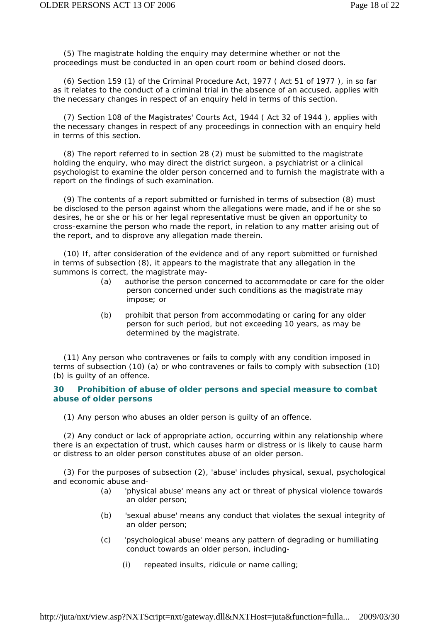(5) The magistrate holding the enquiry may determine whether or not the proceedings must be conducted in an open court room or behind closed doors.

 (6) Section 159 (1) of the Criminal Procedure Act, 1977 ( Act 51 of 1977 ), in so far as it relates to the conduct of a criminal trial in the absence of an accused, applies with the necessary changes in respect of an enquiry held in terms of this section.

 (7) Section 108 of the Magistrates' Courts Act, 1944 ( Act 32 of 1944 ), applies with the necessary changes in respect of any proceedings in connection with an enquiry held in terms of this section.

 (8) The report referred to in section 28 (2) must be submitted to the magistrate holding the enquiry, who may direct the district surgeon, a psychiatrist or a clinical psychologist to examine the older person concerned and to furnish the magistrate with a report on the findings of such examination.

 (9) The contents of a report submitted or furnished in terms of subsection (8) must be disclosed to the person against whom the allegations were made, and if he or she so desires, he or she or his or her legal representative must be given an opportunity to cross-examine the person who made the report, in relation to any matter arising out of the report, and to disprove any allegation made therein.

 (10) If, after consideration of the evidence and of any report submitted or furnished in terms of subsection (8), it appears to the magistrate that any allegation in the summons is correct, the magistrate may-

- *(a)* authorise the person concerned to accommodate or care for the older person concerned under such conditions as the magistrate may impose; or
- *(b)* prohibit that person from accommodating or caring for any older person for such period, but not exceeding 10 years, as may be determined by the magistrate.

 (11) Any person who contravenes or fails to comply with any condition imposed in terms of subsection (10) *(a)* or who contravenes or fails to comply with subsection (10) *(b)* is guilty of an offence.

### **30 Prohibition of abuse of older persons and special measure to combat abuse of older persons**

(1) Any person who abuses an older person is guilty of an offence.

 (2) Any conduct or lack of appropriate action, occurring within any relationship where there is an expectation of trust, which causes harm or distress or is likely to cause harm or distress to an older person constitutes abuse of an older person.

 (3) For the purposes of subsection (2), 'abuse' includes physical, sexual, psychological and economic abuse and-

- *(a)* 'physical abuse' means any act or threat of physical violence towards an older person;
- *(b)* 'sexual abuse' means any conduct that violates the sexual integrity of an older person;
- *(c)* 'psychological abuse' means any pattern of degrading or humiliating conduct towards an older person, including-
	- (i) repeated insults, ridicule or name calling;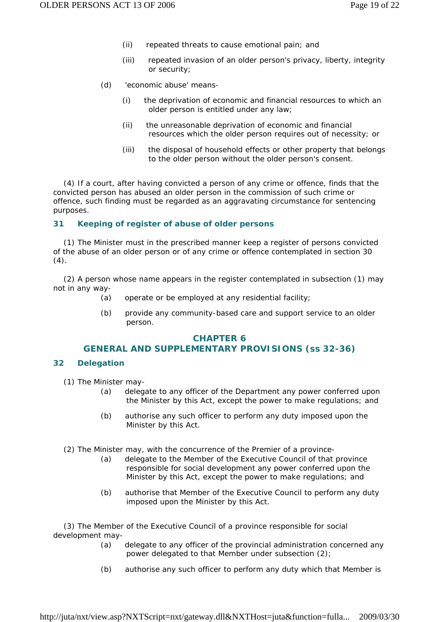- (ii) repeated threats to cause emotional pain; and
- (iii) repeated invasion of an older person's privacy, liberty, integrity or security;
- *(d)* 'economic abuse' means-
	- (i) the deprivation of economic and financial resources to which an older person is entitled under any law;
	- (ii) the unreasonable deprivation of economic and financial resources which the older person requires out of necessity; or
	- (iii) the disposal of household effects or other property that belongs to the older person without the older person's consent.

 (4) If a court, after having convicted a person of any crime or offence, finds that the convicted person has abused an older person in the commission of such crime or offence, such finding must be regarded as an aggravating circumstance for sentencing purposes.

### **31 Keeping of register of abuse of older persons**

 (1) The Minister must in the prescribed manner keep a register of persons convicted of the abuse of an older person or of any crime or offence contemplated in section 30  $(4).$ 

 (2) A person whose name appears in the register contemplated in subsection (1) may not in any way-

- *(a)* operate or be employed at any residential facility;
- *(b)* provide any community-based care and support service to an older person.

### **CHAPTER 6**

### **GENERAL AND SUPPLEMENTARY PROVISIONS (ss 32-36)**

#### **32 Delegation**

- (1) The Minister may-
	- *(a)* delegate to any officer of the Department any power conferred upon the Minister by this Act, except the power to make regulations; and
	- *(b)* authorise any such officer to perform any duty imposed upon the Minister by this Act.
- (2) The Minister may, with the concurrence of the Premier of a province-
	- *(a)* delegate to the Member of the Executive Council of that province responsible for social development any power conferred upon the Minister by this Act, except the power to make regulations; and
	- *(b)* authorise that Member of the Executive Council to perform any duty imposed upon the Minister by this Act.

 (3) The Member of the Executive Council of a province responsible for social development may-

- *(a)* delegate to any officer of the provincial administration concerned any power delegated to that Member under subsection (2);
- *(b)* authorise any such officer to perform any duty which that Member is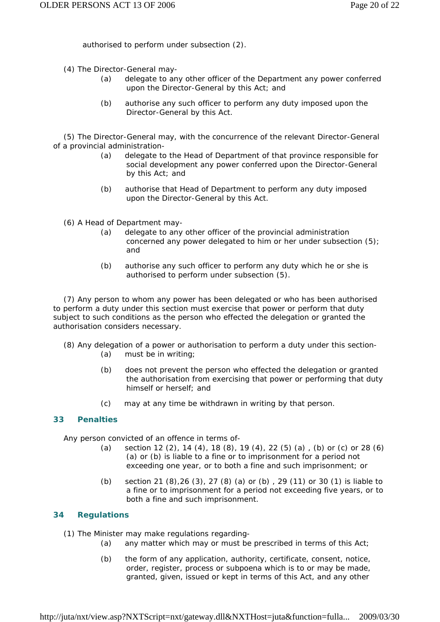authorised to perform under subsection (2).

- (4) The Director-General may-
	- *(a)* delegate to any other officer of the Department any power conferred upon the Director-General by this Act; and
	- *(b)* authorise any such officer to perform any duty imposed upon the Director-General by this Act.

 (5) The Director-General may, with the concurrence of the relevant Director-General of a provincial administration-

- *(a)* delegate to the Head of Department of that province responsible for social development any power conferred upon the Director-General by this Act; and
- *(b)* authorise that Head of Department to perform any duty imposed upon the Director-General by this Act.
- (6) A Head of Department may-
	- *(a)* delegate to any other officer of the provincial administration concerned any power delegated to him or her under subsection (5); and
	- *(b)* authorise any such officer to perform any duty which he or she is authorised to perform under subsection (5).

 (7) Any person to whom any power has been delegated or who has been authorised to perform a duty under this section must exercise that power or perform that duty subject to such conditions as the person who effected the delegation or granted the authorisation considers necessary.

- (8) Any delegation of a power or authorisation to perform a duty under this section-
	- *(a)* must be in writing;
	- *(b)* does not prevent the person who effected the delegation or granted the authorisation from exercising that power or performing that duty himself or herself; and
	- *(c)* may at any time be withdrawn in writing by that person.

# **33 Penalties**

Any person convicted of an offence in terms of-

- *(a)* section 12 (2), 14 (4), 18 (8), 19 (4), 22 (5) *(a)* , *(b)* or *(c)* or 28 (6) *(a)* or *(b)* is liable to a fine or to imprisonment for a period not exceeding one year, or to both a fine and such imprisonment; or
- *(b)* section 21 (8),26 (3), 27 (8) *(a)* or *(b)* , 29 (11) or 30 (1) is liable to a fine or to imprisonment for a period not exceeding five years, or to both a fine and such imprisonment.

### **34 Regulations**

- (1) The Minister may make regulations regarding-
	- *(a)* any matter which may or must be prescribed in terms of this Act;
	- *(b)* the form of any application, authority, certificate, consent, notice, order, register, process or subpoena which is to or may be made, granted, given, issued or kept in terms of this Act, and any other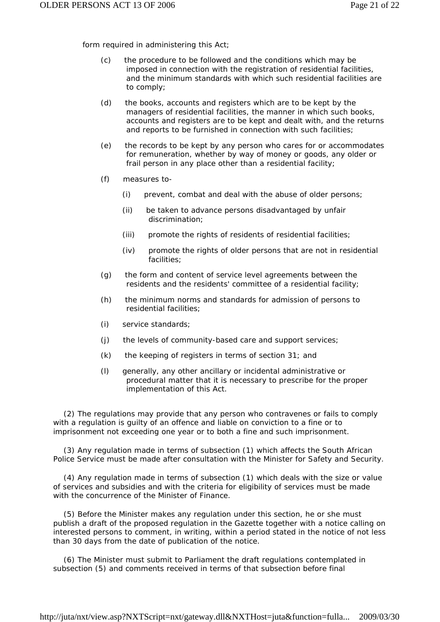form required in administering this Act;

- *(c)* the procedure to be followed and the conditions which may be imposed in connection with the registration of residential facilities, and the minimum standards with which such residential facilities are to comply;
- *(d)* the books, accounts and registers which are to be kept by the managers of residential facilities, the manner in which such books, accounts and registers are to be kept and dealt with, and the returns and reports to be furnished in connection with such facilities;
- *(e)* the records to be kept by any person who cares for or accommodates for remuneration, whether by way of money or goods, any older or frail person in any place other than a residential facility;
- *(f)* measures to-
	- (i) prevent, combat and deal with the abuse of older persons;
	- (ii) be taken to advance persons disadvantaged by unfair discrimination;
	- (iii) promote the rights of residents of residential facilities;
	- (iv) promote the rights of older persons that are not in residential facilities;
- *(g)* the form and content of service level agreements between the residents and the residents' committee of a residential facility;
- *(h)* the minimum norms and standards for admission of persons to residential facilities;
- *(i)* service standards;
- *(j)* the levels of community-based care and support services;
- *(k)* the keeping of registers in terms of section 31; and
- *(l)* generally, any other ancillary or incidental administrative or procedural matter that it is necessary to prescribe for the proper implementation of this Act.

 (2) The regulations may provide that any person who contravenes or fails to comply with a regulation is guilty of an offence and liable on conviction to a fine or to imprisonment not exceeding one year or to both a fine and such imprisonment.

 (3) Any regulation made in terms of subsection (1) which affects the South African Police Service must be made after consultation with the Minister for Safety and Security.

 (4) Any regulation made in terms of subsection (1) which deals with the size or value of services and subsidies and with the criteria for eligibility of services must be made with the concurrence of the Minister of Finance.

 (5) Before the Minister makes any regulation under this section, he or she must publish a draft of the proposed regulation in the *Gazette* together with a notice calling on interested persons to comment, in writing, within a period stated in the notice of not less than 30 days from the date of publication of the notice.

 (6) The Minister must submit to Parliament the draft regulations contemplated in subsection (5) and comments received in terms of that subsection before final